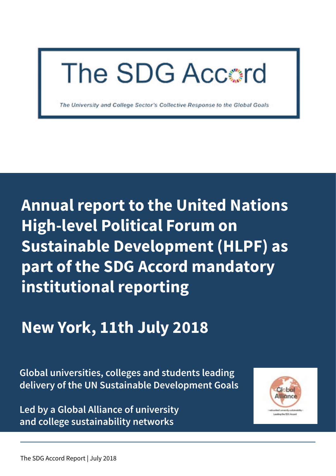

The University and College Sector's Collective Response to the Global Goals

**Annual report to the United Nations High-level Political Forum on Sustainable Development (HLPF) as part of the SDG Accord mandatory institutional reporting**

## **New York, 11th July 2018**

**Global universities, colleges and students leading delivery of the UN Sustainable Development Goals**

**Led by a Global Alliance of university and college sustainability networks**

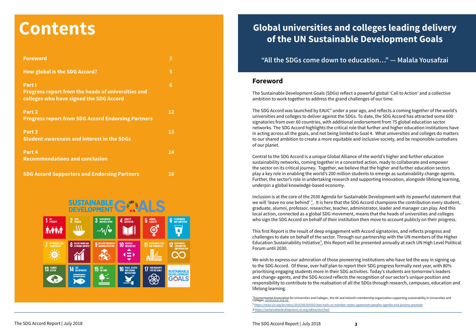## **Global universities and colleges leading delivery of the UN Sustainable Development Goals**

### **"All the SDGs come down to education…" — Malala Yousafzai**

### **Foreword**

The Sustainable Development Goals (SDGs) reflect a powerful global 'Call to Action' and a collective ambition to work together to address the grand challenges of our time.

The SDG Accord was launched by EAUC<sup>1</sup> under a year ago, and reflects a coming together of the world's universities and colleges to deliver against the SDGs. To date, the SDG Accord has attracted some 600 signatories from over 60 countries, with additional endorsement from 75 global education sector networks. The SDG Accord highlights the critical role that further and higher education institutions have in acting across all the goals, and not being limited to Goal 4. What universities and colleges do matters to our shared ambition to create a more equitable and inclusive society, and be responsible custodians of our planet.

Central to the SDG Accord is a unique Global Alliance of the world's higher and further education sustainability networks, coming together in a concerted action, ready to collaborate and empower the sector on its critical journey. Together, we believe that the higher and further education sectors play a key role in enabling the world's 200 million students to emerge as sustainability change-agents. Further, the sector's role in undertaking research and supporting innovation, alongside lifelong learning, underpin a global knowledge-based economy.

Inclusion is at the core of the 2030 Agenda for Sustainable Development with its powerful statement that we will 'leave no one behind'  $2$ . It is here that the SDG Accord champions the contribution every student, graduate, alumni, professor, researcher, teacher, administrator, leader and manager can play. And this local action, connected as a global SDG movement, means that the heads of universities and colleges who sign the SDG Accord on behalf of their institution then move to account publicly on their progress.

This first Report is the result of deep engagement with Accord signatories, and reflects progress and challenges to date on behalf of the sector. Through our partnership with the UN members of the Higher Education Sustainability Initiative<sup>3</sup>, this Report will be presented annually at each UN High Level Political Forum until 2030.

We wish to express our admiration of those pioneering institutions who have led the way in signing up to the SDG Accord. Of these, over half plan to report their SDG progress formally next year, with 80% prioritising engaging students more in their SDG activities. Today's students are tomorrow's leaders and change-agents, and the SDG Accord reflects the recognition of our sector's unique position and responsibility to contribute to the realisation of all the SDGs through research, campuses, education and lifelong learning.

# **Contents**

| <b>Foreword</b>                                                                                                | $\overline{\mathbf{3}}$ |
|----------------------------------------------------------------------------------------------------------------|-------------------------|
| <b>How global is the SDG Accord?</b>                                                                           | 5                       |
| Part I<br><b>Progress report from the heads of universities and</b><br>colleges who have signed the SDG Accord | 6                       |
| Part 2<br><b>Progress report from SDG Accord Endorsing Partners</b>                                            | 12                      |
| Part 3<br><b>Student awareness and interest in the SDGs</b>                                                    | 13                      |
| Part 4<br><b>Recommendations and conclusion</b>                                                                | 14                      |
| <b>SDG Accord Supporters and Endorsing Partners</b>                                                            | 16                      |

#### **SUSTAINABLE** 3 GOOD HEALTH  $1<sup>10</sup>$  POVERTY 2 ZERO  $\mathbf{C}$  $\overline{\mathcal{S}}$  $-\sqrt{\bullet}$ **Á:AA:A 8** DECENT WORK AND **11 SUSTAINABLE CITIE 10 REDUCED 9 INDUSTRY, INNOVATION 7 AFFORDABLE A<br>Clean Enfrey** X  $\left(\frac{1}{x}\right)$ M  $\frac{1}{2}$ **AO 16** PEACE, JUSTIC<br>INSTITUTIONS **17 PARTNERSHIP: 15 LIFE SUSTAINABLE**  $\bigotimes$ **GOALS**

<sup>&#</sup>x27;Enivronmental Association for Universities and Colleges , the UK and Ireland's membership organisation supporting sustainability in Universities and<br>Colleges. <u>www.eauc.org.uk</u> ² [https://news.un.org/en/story/2015/08/505552-ban-hails-un-member-states-agreement-peoples-agenda-end-poverty-promote](https://news.un.org/en/story/2015/08/505552-ban-hails-un-member-states-agreement-peoples-agenda-end-poverty-promote ) 3<https://sustainabledevelopment.un.org/sdinaction/hesi>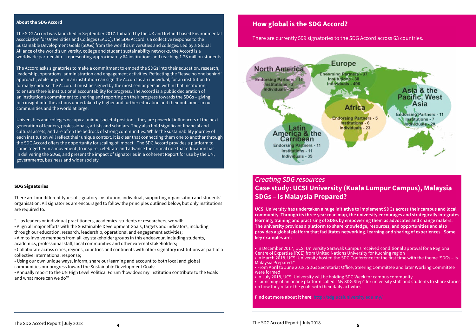### **How global is the SDG Accord?**

There are currently 599 signatories to the SDG Accord across 63 countries.



### *Creating SDG resources* **Case study: UCSI University (Kuala Lumpur Campus), Malaysia SDGs – Is Malaysia Prepared?**

**UCSI University has undertaken a huge initiative to implement SDGs across their campus and local community. Through its three year road map, the university encourages and strategically integrates learning, training and practising of SDGs by empowering them as advocates and change makers. The university provides a platform to share knowledge, resources, and opportunities and also provides a global platform that facilitates networking, learning and sharing of experiences. Some key examples are:**

• In December 2017, UCSI University Sarawak Campus received conditional approval for a Regional Centre of Expertise (RCE) from United Nations University for Kuching region • In March 2018, UCSI University hosted the SDG Conference for the first time with the theme 'SDGs – Is Malaysia Prepared?'

• From April to June 2018, SDGs Secretariat Office, Steering Committee and later Working Committee were formed

• In July 2018, UCSI University will be holding SDG Week for campus community • Launching of an online platform called "My SDG Step" for university staff and students to share stories on how they relate the goals with their daily activities

**Find out more about it here: <http://sdg.ucsiuniversity.edu.my/>**

#### **About the SDG Accord**

The SDG Accord was launched in September 2017. Initiated by the UK and Ireland based Environmental Association for Universities and Colleges (EAUC), the SDG Accord is a collective response to the Sustainable Development Goals (SDGs) from the world's universities and colleges. Led by a Global Alliance of the world's university, college and student sustainability networks, the Accord is a worldwide partnership – representing approximately 64 institutions and reaching 1.28 million students.

The Accord asks signatories to make a commitment to embed the SDGs into their education, research, leadership, operations, administration and engagement activities. Reflecting the "leave no one behind' approach, while anyone in an institution can sign the Accord as an individual, for an institution to formally endorse the Accord it must be signed by the most senior person within that institution, to ensure there is institutional accountability for progress. The Accord is a public declaration of an institution's commitment to sharing and reporting on their progress towards the SDGs – giving rich insight into the actions undertaken by higher and further education and their outcomes in our communities and the world at large.

Universities and colleges occupy a unique societal position – they are powerful influencers of the next generation of leaders, professionals, artists and scholars. They also hold significant financial and cultural assets, and are often the bedrock of strong communities. While the sustainability journey of each institution will reflect their unique context, it is clear that connecting them one to another through the SDG Accord offers the opportunity for scaling of impact. The SDG Accord provides a platform to come together in a movement, to inspire, celebrate and advance the critical role that education has in delivering the SDGs, and present the impact of signatories in a coherent Report for use by the UN, governments, business and wider society.

#### **SDG Signatories**

There are four different types of signatory: institution, individual, supporting organisation and students' organisation. All signatories are encouraged to follow the principles outlined below, but only institutions are required to.

"…as leaders or individual practitioners, academics, students or researchers, we will:

• Align all major efforts with the Sustainable Development Goals, targets and indicators, including through our education, research, leadership, operational and engagement activities;

• Aim to involve members from all key stakeholder groups in this endeavour, including students, academics, professional staff, local communities and other external stakeholders;

• Collaborate across cities, regions, countries and continents with other signatory institutions as part of a collective international response;

• Using our own unique ways, inform, share our learning and account to both local and global communities our progress toward the Sustainable Development Goals;

• Annually report to the UN High Level Political Forum 'how does my institution contribute to the Goals and what more can we do'."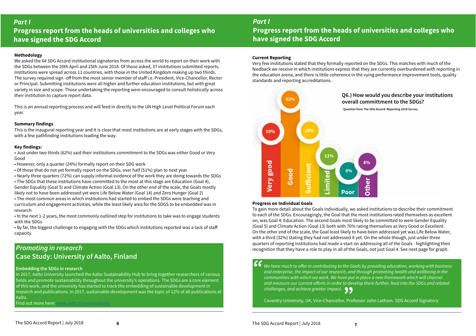### *Part I*  **Progress report from the heads of universities and colleges who have signed the SDG Accord**

#### **Methodology**

We asked the 64 SDG Accord institutional signatories from across the world to report on their work with the SDGs between the 20th April and 25th June 2018. Of those asked, 37 institutions submitted reports. Institutions were spread across 11 countries, with those in the United Kingdom making up two thirds. The survey required sign -off from the most senior member of staff i.e. President, Vice-Chancellor, Rector or Principal. Submitting institutions were all higher and further education institutions, but with great variety in size and scope. Those undertaking the reporting were encouraged to consult holistically across their institution to capture report data.

This is an annual reporting process and will feed in directly to the UN High Level Political Forum each year.

#### **Summary findings**

This is the inaugural reporting year and it is clear that most institutions are at early stages with the SDGs, with a few pathfinding institutions leading the way.

#### **Key findings:**

• Just under two thirds (62%) said their institutions commitment to the SDGs was either Good or Very Good

- However, only a quarter (24%) formally report on their SDG work
- Of those that do not yet formally report on the SDGs, over half (51%) plan to next year

• Nearly three quarters (72%) can supply informal evidence of the work they are doing towards the SDGs • The SDGs that these institutions have committed to the most at this stage are Education (Goal 4),

> **66** We have much to offer in contributing to the Goals by providing education, working with business **66** We have much to offer in contributing to the Goals by providing education, working with business *and enterprise, the impact of our research, and through promoting health and wellbeing in the communities with which we work. We have put in place a new framework which will channel and measure our current efforts in order to develop them further, feed into the SDGs and related*

Gender Equality (Goal 5) and Climate Action (Goal 13). On the other end of the scale, the Goals mostly likely not to have been addressed yet were Life Below Water (Goal 14) and Zero Hunger (Goal 2)

• The most common areas in which institutions had started to embed the SDGs were teaching and curriculum and engagement activities, while the least likely area for the SDGS to be embedded was in research

• In the next 1-2 years, the most commonly outlined step for institutions to take was to engage students with the SDGs

• By far, the biggest challenge to engaging with the SDGs which institutions reported was a lack of staff capacity.

### *Part I*  **Progress report from the heads of universities and colleges who have signed the SDG Accord**

#### **Current Reporting**

Very few institutions stated that they formally reported on the SDGs. This matches with much of the feedback we receive in which institutions express that they are currently overburdened with reporting in the education arena, and there is little coherence in the vying performance improvement tools, quality standards and reporting accreditations.

*challenges, and achieve greater impact.* **"** Coventry University, UK, Vice-Chancellor, Professor John Latham. SDG Accord Signatory

### **Q6.) How would you describe your institutions overall committment to the SDGs?**

 **Question from The SDG Accord: Reporting 2018 Survey**



#### **Progress on Individual Goals**

To gain more detail about the Goals individually, we asked institutions to describe their commitment to each of the SDGs. Encouragingly, the Goal that the most institutions rated themselves as excellent on, was Goal 4: Education. The second Goals most likely to be committed to were Gender Equality (Goal 5) and Climate Action (Goal 13) both with 70% rating themselves as Very Good or Excellent. On the other end of the scale, the Goal least likely to have been addressed yet was Life Below Water, with a third (32%) stating they had not addressed it yet. On the whole though, just under three quarters of reporting institutions had made a start on addressing all of the Goals - highlighting their recognition that they have a role to play in all of the Goals, not just Goal 4. See next page for graph.

### *Promoting in research* **Case Study: University of Aalto, Finland**

#### **Embedding the SDGs in research**

In 2017, Aalto University launched the Aalto Sustainability Hub to bring together researchers of various fields and promote sustainability throughout the university's operations. The SDGs are a core element of this work, and the university has started to track the embedding of sustainable development in research and publications. In 2017, sustainable development was the topic of 12% of all publications at Aalto.

Find out more here: [www.aalto.fi/sustainability](http://www.aalto.fi/sustainability)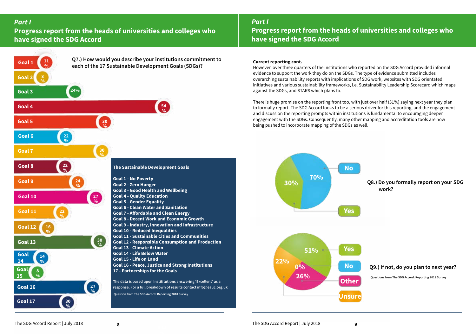### *Part I*  **Progress report from the heads of universities and colleges who have signed the SDG Accord**

### *Part I*

### **Progress report from the heads of universities and colleges who have signed the SDG Accord**

### **Current reporting cont.**

However, over three quarters of the institutions who reported on the SDG Accord provided informal evidence to support the work they do on the SDGs. The type of evidence submitted includes overarching sustainability reports with implications of SDG work, websites with SDG orientated initiatives and various sustainability frameworks, i.e. Sustainability Leadership Scorecard which maps against the SDGs, and STARS which plans to.

There is huge promise on the reporting front too, with just over half (51%) saying next year they plan to formally report. The SDG Accord looks to be a serious driver for this reporting, and the engagement and discussion the reporting prompts within institutions is fundamental to encouraging deeper engagement with the SDGs. Consequently, many other mapping and accreditation tools are now being pushed to incorporate mapping of the SDGs as well.

> **Q8.) Do you formally report on your SDG work?**





**Questions from The SDG Accord: Reporting 2018 Survey**

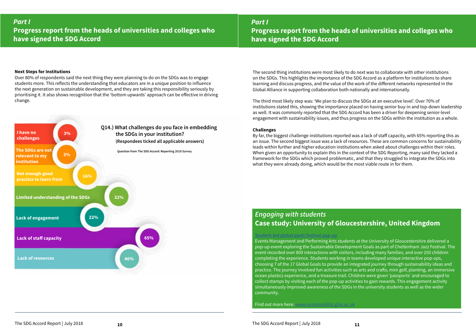### *Part I*  **Progress report from the heads of universities and colleges who have signed the SDG Accord**



### *Part I*  **Progress report from the heads of universities and colleges who have signed the SDG Accord**

### *Engaging with students* **Case study: University of Gloucestershire, United Kingdom**

### **[Student-led global goals festival pop-up](https://www.youtube.com/watch?v=bwrLHbceTeA )**

Events Management and Performing Arts students at the University of Gloucestershire delivered a pop-up event exploring the Sustainable Development Goals as part of Cheltenham Jazz Festival. The event recorded over 800 interactions with visitors, including many families, and over 250 children completing the experience. Students working in teams developed unique interactive pop-ups, choosing 7 of the 17 Global Goals to provide an integrated journey through sustainability ideas and practice. The journey involved fun activities such as arts and crafts, mini golf, planting, an immersive ocean plastics experience, and a treasure trail. Children were given 'passports' and encouraged to collect stamps by visiting each of the pop-up activities to gain rewards. This engagement activity simultaneously improved awareness of the SDGs in the university students as well as the wider community.

**Find out more here:** 

The second thing institutions were most likely to do next was to collaborate with other institutions on the SDGs. This highlights the importance of the SDG Accord as a platform for institutions to share learning and discuss progress, and the value of the work of the different networks represented in the Global Alliance in supporting collaboration both nationally and internationally.

The third most likely step was: 'We plan to discuss the SDGs at an executive level'. Over 70% of institutions stated this, showing the importance placed on having senior buy-in and top-down leadership as well. It was commonly reported that the SDG Accord has been a driver for deepening senior-level engagement with sustainability issues, and thus progress on the SDGs within the institution as a whole.

### **Challenges**

By far, the biggest challenge institutions reported was a lack of staff capacity, with 65% reporting this as an issue. The second biggest issue was a lack of resources. These are common concerns for sustainability leads within further and higher education institutions when asked about challenges within their roles. When given an opportunity to explain this in the context of the SDG Reporting, many said they lacked a framework for the SDGs which proved problematic, and that they struggled to integrate the SDGs into what they were already doing, which would be the most viable route in for them.

#### **Next Steps for Institutions**

Over 80% of respondents said the next thing they were planning to do on the SDGs was to engage students more. This reflects the understanding that educators are in a unique position to influence the next generation on sustainable development, and they are taking this responsibility seriously by prioritising it. It also shows recognition that the 'bottom upwards' approach can be effective in driving change.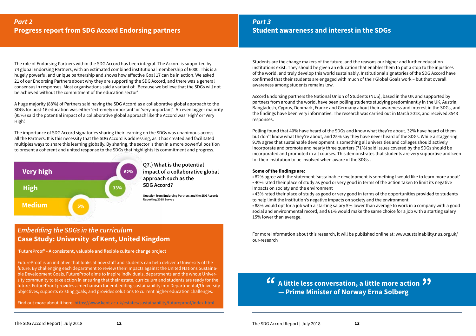### *Embedding the SDGs in the curriculum* **Case Study: University of Kent, United Kingdom**

**'FutureProof' - A consistent, valuable and flexible culture change project**

FutureProof is an initiative that looks at how staff and students can help deliver a University of the future. By challenging each department to review their impacts against the United Nations Sustainable Development Goals, FutureProof aims to inspire individuals, departments and the whole University community to take action in ensuring that their estate, curriculum and students are ready for the future. FutureProof provides a mechanism for embedding sustainability into Departmental/University objectives; supports existing goals; and provides solutions to current higher education challenges.

Find out more about it here: [https://www.kent.ac.uk/estates/sustainability/futureproof/index.html](https://www.kent.ac.uk/estates/sustainability/futureproof/index.html )

**Q7.) What is the potential impact of a collaborative global approach such as the SDG Accord?**

**Question from Endorsing Partners and the SDG Accord: Reporting 2018 Survey**

*Part 3*  **Student awareness and interest in the SDGs**

### Students are the change makers of the future, and the reasons our higher and further education institutions exist. They should be given an education that enables them to put a stop to the injustices of the world, and truly develop this world sustainably. Institutional signatories of the SDG Accord have confirmed that their students are engaged with much of their Global Goals work – but that overall awareness among students remains low.

Accord Endorsing partners the National Union of Students (NUS), based in the UK and supported by partners from around the world, have been polling students studying predominantly in the UK, Austria, Bangladesh, Cyprus, Denmark, France and Germany about their awareness and interest in the SDGs, and the findings have been very informative. The research was carried out in March 2018, and received 3543 responses.

Polling found that 40% have heard of the SDGs and know what they're about, 32% have heard of them but don't know what they're about, and 25% say they have never heard of the SDGs. While a staggering 91% agree that sustainable development is something all universities and colleges should actively incorporate and promote and nearly three quarters (71%) said issues covered by the SDGs should be incorporated and promoted in all courses. This demonstrates that students are very supportive and keen for their institution to be involved when aware of the SDGs .

### **Some of the findings are:**

- 82% agree with the statement 'sustainable development is something I would like to learn more about'. • 40% rated their place of study as good or very good in terms of the action taken to limit its negative impacts on society and the environment
- 43% rated their place of study as good or very good in terms of the opportunities provided to students to help limit the institution's negative impacts on society and the environment • 88% would opt for a job with a starting salary 5% lower than average to work in a company with a good social and environmental record, and 61% would make the same choice for a job with a starting salary 15% lower than average.

For more information about this research, it will be published online at: www.sustainability.nus.org.uk/ our-research

### **A little less conversation, a little more action** *"* **" — Prime Minister of Norway Erna Solberg**

The role of Endorsing Partners within the SDG Accord has been integral. The Accord is supported by 74 global Endorsing Partners, with an estimated combined institutional membership of 6000. This is a hugely powerful and unique partnership and shows how effective Goal 17 can be in action. We asked 21 of our Endorsing Partners about why they are supporting the SDG Accord, and there was a general consensus in responses. Most organisations said a variant of: 'Because we believe that the SDGs will not be achieved without the commitment of the education sector'.

A huge majority (88%) of Partners said having the SDG Accord as a collaborative global approach to the SDGs for post-16 education was either 'extremely important' or 'very important'. An even bigger majority (95%) said the potential impact of a collaborative global approach like the Accord was 'High' or 'Very High'.

The importance of SDG Accord signatories sharing their learning on the SDGs was unanimous across all the Partners. It is this necessity that the SDG Accord is addressing, as it has created and facilitated multiples ways to share this learning globally. By sharing, the sector is then in a more powerful position to present a coherent and united response to the SDGs that highlights its commitment and progress.

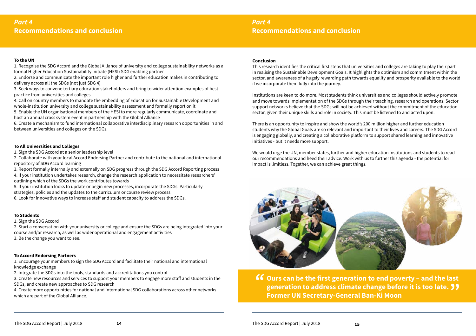### **To the UN**

1. Recognise the SDG Accord and the Global Alliance of university and college sustainability networks as a formal Higher Education Sustainability Initiate (HESI) SDG enabling partner

2. Endorse and communicate the important role higher and further education makes in contributing to delivery across all the SDGs (not just SDG 4)

3. Seek ways to convene tertiary education stakeholders and bring to wider attention examples of best practice from universities and colleges

4. Call on country members to mandate the embedding of Education for Sustainable Development and whole-institution university and college sustainability assessment and formally report on it

5. Enable the UN organisational members of the HESI to more regularly communicate, coordinate and host an annual cross system event in partnership with the Global Alliance

6. Create a mechanism to fund international collaborative interdisciplinary research opportunities in and between universities and colleges on the SDGs.

#### **To All Universities and Colleges**

1. Sign the SDG Accord at a senior leadership level

2. Collaborate with your local Accord Endorsing Partner and contribute to the national and international repository of SDG Accord learning

3. Report formally internally and externally on SDG progress through the SDG Accord Reporting process

4. If your institution undertakes research, change the research application to necessitate researchers' outlining which of the SDGs the work contributes towards

5. If your institution looks to update or begin new processes, incorporate the SDGs. Particularly strategies, policies and the updates to the curriculum or course review process

6. Look for innovative ways to increase staff and student capacity to address the SDGs.

#### **To Students**

1. Sign the SDG Accord

2. Start a conversation with your university or college and ensure the SDGs are being integrated into your course and/or research, as well as wider operational and engagement activities 3. Be the change you want to see.

### **To Accord Endorsing Partners**

1. Encourage your members to sign the SDG Accord and facilitate their national and international knowledge exchange

2. Integrate the SDGs into the tools, standards and accreditations you control

3. Create new resources and services to support your members to engage more staff and students in the SDGs, and create new approaches to SDG research

4. Create more opportunities for national and international SDG collaborations across other networks which are part of the Global Alliance.

### **Conclusion**

This research identifies the critical first steps that universities and colleges are taking to play their part in realising the Sustainable Development Goals. It highlights the optimism and commitment within the sector, and awareness of a hugely rewarding path towards equality and prosperity available to the world if we incorporate them fully into the journey.

Institutions are keen to do more. Most students think universities and colleges should actively promote and move towards implementation of the SDGs through their teaching, research and operations. Sector support networks believe that the SDGs will not be achieved without the commitment of the education sector, given their unique skills and role in society. This must be listened to and acted upon.

There is an opportunity to inspire and show the world's 200 million higher and further education students why the Global Goals are so relevant and important to their lives and careers. The SDG Accord is engaging globally, and creating a collaborative platform to support shared learning and innovative initiatives - but it needs more support.

We would urge the UN, member states, further and higher education institutions and students to read our recommendations and heed their advice. Work with us to further this agenda - the potential for impact is limitless. Together, we can achieve great things.



**Ours can be the first generation to end poverty – and the last**  generation to address climate change before it is too late. 99<br>Former UN Secretary-General Ban-Ki Moon **Former UN Secretary-General Ban-Ki Moon** *"*